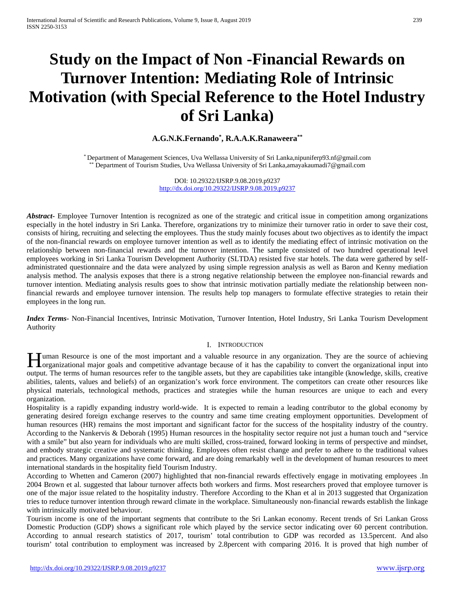# **Study on the Impact of Non -Financial Rewards on Turnover Intention: Mediating Role of Intrinsic Motivation (with Special Reference to the Hotel Industry of Sri Lanka)**

# **A.G.N.K.Fernando\* , R.A.A.K.Ranaweera\*\***

\* Department of Management Sciences, Uva Wellassa University of Sri Lanka,nipuniferp93.nf@gmail.com Department of Tourism Studies, Uva Wellassa University of Sri Lanka,amayakaumadi7@gmail.com

> DOI: 10.29322/IJSRP.9.08.2019.p9237 <http://dx.doi.org/10.29322/IJSRP.9.08.2019.p9237>

*Abstract***-** Employee Turnover Intention is recognized as one of the strategic and critical issue in competition among organizations especially in the hotel industry in Sri Lanka. Therefore, organizations try to minimize their turnover ratio in order to save their cost, consists of hiring, recruiting and selecting the employees. Thus the study mainly focuses about two objectives as to identify the impact of the non-financial rewards on employee turnover intention as well as to identify the mediating effect of intrinsic motivation on the relationship between non-financial rewards and the turnover intention. The sample consisted of two hundred operational level employees working in Sri Lanka Tourism Development Authority (SLTDA) resisted five star hotels. The data were gathered by selfadministrated questionnaire and the data were analyzed by using simple regression analysis as well as Baron and Kenny mediation analysis method. The analysis exposes that there is a strong negative relationship between the employee non-financial rewards and turnover intention. Mediating analysis results goes to show that intrinsic motivation partially mediate the relationship between nonfinancial rewards and employee turnover intension. The results help top managers to formulate effective strategies to retain their employees in the long run.

*Index Terms*- Non-Financial Incentives, Intrinsic Motivation, Turnover Intention, Hotel Industry, Sri Lanka Tourism Development Authority

## I. INTRODUCTION

uman Resource is one of the most important and a valuable resource in any organization. They are the source of achieving **H**uman Resource is one of the most important and a valuable resource in any organization. They are the source of achieving organizational mput into organizational input into  $\frac{1}{10}$ output. The terms of human resources refer to the tangible assets, but they are capabilities take intangible (knowledge, skills, creative abilities, talents, values and beliefs) of an organization's work force environment. The competitors can create other resources like physical materials, technological methods, practices and strategies while the human resources are unique to each and every organization.

Hospitality is a rapidly expanding industry world-wide. It is expected to remain a leading contributor to the global economy by generating desired foreign exchange reserves to the country and same time creating employment opportunities. Development of human resources (HR) remains the most important and significant factor for the success of the hospitality industry of the country. According to the Nankervis & Deborah (1995) Human resources in the hospitality sector require not just a human touch and "service with a smile" but also yearn for individuals who are multi skilled, cross-trained, forward looking in terms of perspective and mindset, and embody strategic creative and systematic thinking. Employees often resist change and prefer to adhere to the traditional values and practices. Many organizations have come forward, and are doing remarkably well in the development of human resources to meet international standards in the hospitality field Tourism Industry.

According to Whetten and Cameron (2007) highlighted that non-financial rewards effectively engage in motivating employees .In 2004 Brown et al. suggested that labour turnover affects both workers and firms. Most researchers proved that employee turnover is one of the major issue related to the hospitality industry. Therefore According to the Khan et al in 2013 suggested that Organization tries to reduce turnover intention through reward climate in the workplace. Simultaneously non-financial rewards establish the linkage with intrinsically motivated behaviour.

Tourism income is one of the important segments that contribute to the Sri Lankan economy. Recent trends of Sri Lankan Gross Domestic Production (GDP) shows a significant role which played by the service sector indicating over 60 percent contribution. According to annual research statistics of 2017, tourism' total contribution to GDP was recorded as 13.5percent. And also tourism' total contribution to employment was increased by 2.8percent with comparing 2016. It is proved that high number of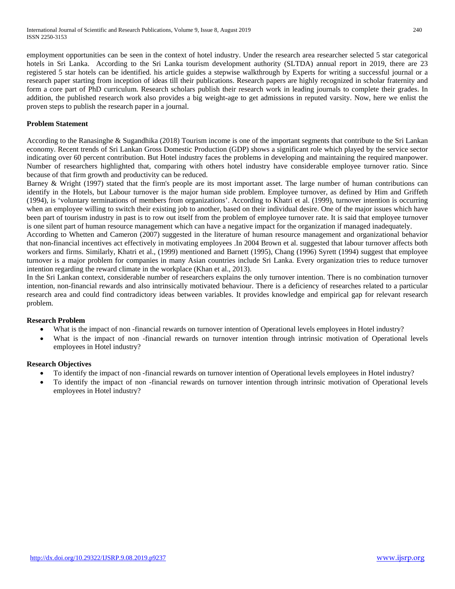employment opportunities can be seen in the context of hotel industry. Under the research area researcher selected 5 star categorical hotels in Sri Lanka. According to the Sri Lanka tourism development authority (SLTDA) annual report in 2019, there are 23 registered 5 star hotels can be identified. his article guides a stepwise walkthrough by Experts for writing a successful journal or a research paper starting from inception of ideas till their publications. Research papers are highly recognized in scholar fraternity and form a core part of PhD curriculum. Research scholars publish their research work in leading journals to complete their grades. In addition, the published research work also provides a big weight-age to get admissions in reputed varsity. Now, here we enlist the proven steps to publish the research paper in a journal.

# **Problem Statement**

According to the Ranasinghe & Sugandhika (2018) Tourism income is one of the important segments that contribute to the Sri Lankan economy. Recent trends of Sri Lankan Gross Domestic Production (GDP) shows a significant role which played by the service sector indicating over 60 percent contribution. But Hotel industry faces the problems in developing and maintaining the required manpower. Number of researchers highlighted that, comparing with others hotel industry have considerable employee turnover ratio. Since because of that firm growth and productivity can be reduced.

Barney & Wright (1997) stated that the firm's people are its most important asset. The large number of human contributions can identify in the Hotels, but Labour turnover is the major human side problem. Employee turnover, as defined by Him and Griffeth (1994), is 'voluntary terminations of members from organizations'. According to Khatri et al. (1999), turnover intention is occurring when an employee willing to switch their existing job to another, based on their individual desire. One of the major issues which have been part of tourism industry in past is to row out itself from the problem of employee turnover rate. It is said that employee turnover is one silent part of human resource management which can have a negative impact for the organization if managed inadequately.

According to Whetten and Cameron (2007) suggested in the literature of human resource management and organizational behavior that non-financial incentives act effectively in motivating employees .In 2004 Brown et al. suggested that labour turnover affects both workers and firms. Similarly, Khatri et al., (1999) mentioned and Barnett (1995), Chang (1996) Syrett (1994) suggest that employee turnover is a major problem for companies in many Asian countries include Sri Lanka. Every organization tries to reduce turnover intention regarding the reward climate in the workplace (Khan et al., 2013).

In the Sri Lankan context, considerable number of researchers explains the only turnover intention. There is no combination turnover intention, non-financial rewards and also intrinsically motivated behaviour. There is a deficiency of researches related to a particular research area and could find contradictory ideas between variables. It provides knowledge and empirical gap for relevant research problem.

# **Research Problem**

- What is the impact of non-financial rewards on turnover intention of Operational levels employees in Hotel industry?
- What is the impact of non -financial rewards on turnover intention through intrinsic motivation of Operational levels employees in Hotel industry?

# **Research Objectives**

- To identify the impact of non -financial rewards on turnover intention of Operational levels employees in Hotel industry?
- To identify the impact of non -financial rewards on turnover intention through intrinsic motivation of Operational levels employees in Hotel industry?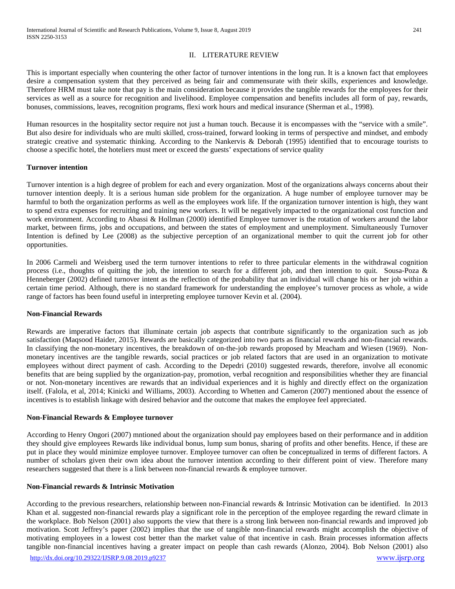## II. LITERATURE REVIEW

This is important especially when countering the other factor of turnover intentions in the long run. It is a known fact that employees desire a compensation system that they perceived as being fair and commensurate with their skills, experiences and knowledge. Therefore HRM must take note that pay is the main consideration because it provides the tangible rewards for the employees for their services as well as a source for recognition and livelihood. Employee compensation and benefits includes all form of pay, rewards, bonuses, commissions, leaves, recognition programs, flexi work hours and medical insurance (Sherman et al., 1998).

Human resources in the hospitality sector require not just a human touch. Because it is encompasses with the "service with a smile". But also desire for individuals who are multi skilled, cross-trained, forward looking in terms of perspective and mindset, and embody strategic creative and systematic thinking. According to the Nankervis & Deborah (1995) identified that to encourage tourists to choose a specific hotel, the hoteliers must meet or exceed the guests' expectations of service quality

## **Turnover intention**

Turnover intention is a high degree of problem for each and every organization. Most of the organizations always concerns about their turnover intention deeply. It is a serious human side problem for the organization. A huge number of employee turnover may be harmful to both the organization performs as well as the employees work life. If the organization turnover intention is high, they want to spend extra expenses for recruiting and training new workers. It will be negatively impacted to the organizational cost function and work environment. According to Abassi & Hollman (2000) identified Employee turnover is the rotation of workers around the labor market, between firms, jobs and occupations, and between the states of employment and unemployment. Simultaneously Turnover Intention is defined by Lee (2008) as the subjective perception of an organizational member to quit the current job for other opportunities.

In 2006 Carmeli and Weisberg used the term turnover intentions to refer to three particular elements in the withdrawal cognition process (i.e., thoughts of quitting the job, the intention to search for a different job, and then intention to quit. Sousa-Poza & Henneberger (2002) defined turnover intent as the reflection of the probability that an individual will change his or her job within a certain time period. Although, there is no standard framework for understanding the employee's turnover process as whole, a wide range of factors has been found useful in interpreting employee turnover Kevin et al. (2004).

#### **Non-Financial Rewards**

Rewards are imperative factors that illuminate certain job aspects that contribute significantly to the organization such as job satisfaction (Maqsood Haider, 2015). Rewards are basically categorized into two parts as financial rewards and non-financial rewards. In classifying the non-monetary incentives, the breakdown of on-the-job rewards proposed by Meacham and Wiesen (1969). Nonmonetary incentives are the tangible rewards, social practices or job related factors that are used in an organization to motivate employees without direct payment of cash. According to the Depedri (2010) suggested rewards, therefore, involve all economic benefits that are being supplied by the organization-pay, promotion, verbal recognition and responsibilities whether they are financial or not. Non-monetary incentives are rewards that an individual experiences and it is highly and directly effect on the organization itself. (Falola, et al, 2014; Kinicki and Williams, 2003). According to Whetten and Cameron (2007) mentioned about the essence of incentives is to establish linkage with desired behavior and the outcome that makes the employee feel appreciated.

#### **Non-Financial Rewards & Employee turnover**

According to Henry Ongori (2007) mntioned about the organization should pay employees based on their performance and in addition they should give employees Rewards like individual bonus, lump sum bonus, sharing of profits and other benefits. Hence, if these are put in place they would minimize employee turnover. Employee turnover can often be conceptualized in terms of different factors. A number of scholars given their own idea about the turnover intention according to their different point of view. Therefore many researchers suggested that there is a link between non-financial rewards & employee turnover.

#### **Non-Financial rewards & Intrinsic Motivation**

According to the previous researchers, relationship between non-Financial rewards & Intrinsic Motivation can be identified. In 2013 Khan et al. suggested non-financial rewards play a significant role in the perception of the employee regarding the reward climate in the workplace. Bob Nelson (2001) also supports the view that there is a strong link between non-financial rewards and improved job motivation. Scott Jeffrey's paper (2002) implies that the use of tangible non-financial rewards might accomplish the objective of motivating employees in a lowest cost better than the market value of that incentive in cash. Brain processes information affects tangible non-financial incentives having a greater impact on people than cash rewards (Alonzo, 2004). Bob Nelson (2001) also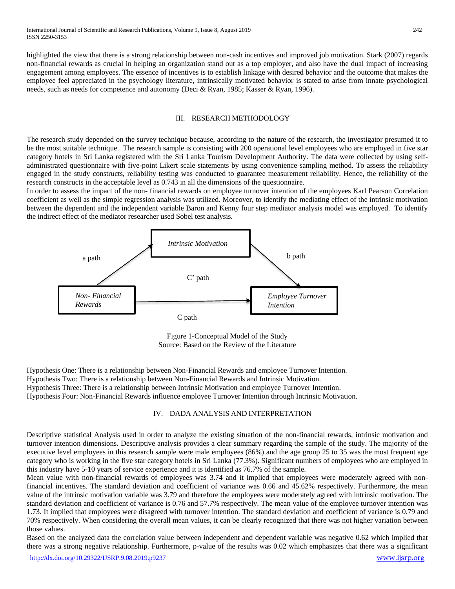highlighted the view that there is a strong relationship between non-cash incentives and improved job motivation. Stark (2007) regards non-financial rewards as crucial in helping an organization stand out as a top employer, and also have the dual impact of increasing engagement among employees. The essence of incentives is to establish linkage with desired behavior and the outcome that makes the employee feel appreciated in the psychology literature, intrinsically motivated behavior is stated to arise from innate psychological needs, such as needs for competence and autonomy (Deci & Ryan, 1985; Kasser & Ryan, 1996).

#### III. RESEARCH METHODOLOGY

The research study depended on the survey technique because, according to the nature of the research, the investigator presumed it to be the most suitable technique. The research sample is consisting with 200 operational level employees who are employed in five star category hotels in Sri Lanka registered with the Sri Lanka Tourism Development Authority. The data were collected by using selfadministrated questionnaire with five-point Likert scale statements by using convenience sampling method. To assess the reliability engaged in the study constructs, reliability testing was conducted to guarantee measurement reliability. Hence, the reliability of the research constructs in the acceptable level as 0.743 in all the dimensions of the questionnaire.

In order to assess the impact of the non- financial rewards on employee turnover intention of the employees Karl Pearson Correlation coefficient as well as the simple regression analysis was utilized. Moreover, to identify the mediating effect of the intrinsic motivation between the dependent and the independent variable Baron and Kenny four step mediator analysis model was employed. To identify the indirect effect of the mediator researcher used Sobel test analysis.



Figure 1-Conceptual Model of the Study Source: Based on the Review of the Literature

Hypothesis One: There is a relationship between Non-Financial Rewards and employee Turnover Intention. Hypothesis Two: There is a relationship between Non-Financial Rewards and Intrinsic Motivation. Hypothesis Three: There is a relationship between Intrinsic Motivation and employee Turnover Intention. Hypothesis Four: Non-Financial Rewards influence employee Turnover Intention through Intrinsic Motivation.

## IV. DADA ANALYSIS AND INTERPRETATION

Descriptive statistical Analysis used in order to analyze the existing situation of the non-financial rewards, intrinsic motivation and turnover intention dimensions. Descriptive analysis provides a clear summary regarding the sample of the study. The majority of the executive level employees in this research sample were male employees (86%) and the age group 25 to 35 was the most frequent age category who is working in the five star category hotels in Sri Lanka (77.3%). Significant numbers of employees who are employed in this industry have 5-10 years of service experience and it is identified as 76.7% of the sample.

Mean value with non-financial rewards of employees was 3.74 and it implied that employees were moderately agreed with nonfinancial incentives. The standard deviation and coefficient of variance was 0.66 and 45.62% respectively. Furthermore, the mean value of the intrinsic motivation variable was 3.79 and therefore the employees were moderately agreed with intrinsic motivation. The standard deviation and coefficient of variance is 0.76 and 57.7% respectively. The mean value of the employee turnover intention was 1.73. It implied that employees were disagreed with turnover intention. The standard deviation and coefficient of variance is 0.79 and 70% respectively. When considering the overall mean values, it can be clearly recognized that there was not higher variation between those values.

Based on the analyzed data the correlation value between independent and dependent variable was negative 0.62 which implied that there was a strong negative relationship. Furthermore, p-value of the results was 0.02 which emphasizes that there was a significant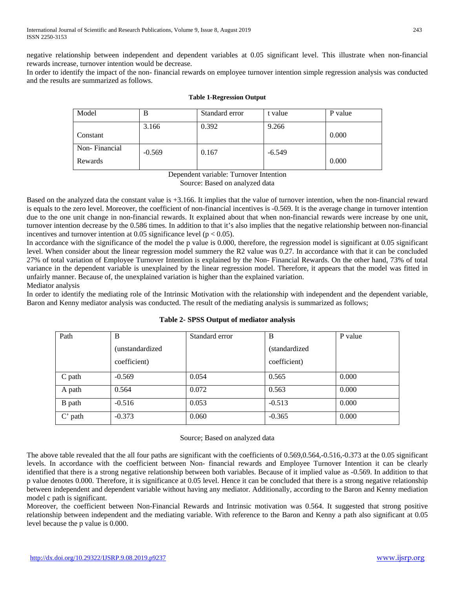negative relationship between independent and dependent variables at 0.05 significant level. This illustrate when non-financial rewards increase, turnover intention would be decrease.

In order to identify the impact of the non- financial rewards on employee turnover intention simple regression analysis was conducted and the results are summarized as follows.

| Model         | B        | Standard error | t value  | P value |
|---------------|----------|----------------|----------|---------|
|               | 3.166    | 0.392          | 9.266    |         |
| Constant      |          |                |          | 0.000   |
| Non-Financial | $-0.569$ | 0.167          | $-6.549$ |         |
| Rewards       |          |                |          | 0.000   |

## **Table 1-Regression Output**

Dependent variable: Turnover Intention Source: Based on analyzed data

Based on the analyzed data the constant value is +3.166. It implies that the value of turnover intention, when the non-financial reward is equals to the zero level. Moreover, the coefficient of non-financial incentives is -0.569. It is the average change in turnover intention due to the one unit change in non-financial rewards. It explained about that when non-financial rewards were increase by one unit, turnover intention decrease by the 0.586 times. In addition to that it's also implies that the negative relationship between non-financial incentives and turnover intention at 0.05 significance level ( $p < 0.05$ ).

In accordance with the significance of the model the p value is 0.000, therefore, the regression model is significant at 0.05 significant level. When consider about the linear regression model summery the R2 value was 0.27. In accordance with that it can be concluded 27% of total variation of Employee Turnover Intention is explained by the Non- Financial Rewards. On the other hand, 73% of total variance in the dependent variable is unexplained by the linear regression model. Therefore, it appears that the model was fitted in unfairly manner. Because of, the unexplained variation is higher than the explained variation. Mediator analysis

In order to identify the mediating role of the Intrinsic Motivation with the relationship with independent and the dependent variable, Baron and Kenny mediator analysis was conducted. The result of the mediating analysis is summarized as follows;

| Path      | B                       | Standard error | B              | P value |
|-----------|-------------------------|----------------|----------------|---------|
|           | <i>(unstandardized)</i> |                | (standardized) |         |
|           | coefficient)            |                | coefficient)   |         |
| C path    | $-0.569$                | 0.054          | 0.565          | 0.000   |
| A path    | 0.564                   | 0.072          | 0.563          | 0.000   |
| B path    | $-0.516$                | 0.053          | $-0.513$       | 0.000   |
| $C'$ path | $-0.373$                | 0.060          | $-0.365$       | 0.000   |

# **Table 2- SPSS Output of mediator analysis**

Source; Based on analyzed data

The above table revealed that the all four paths are significant with the coefficients of 0.569,0.564,-0.516,-0.373 at the 0.05 significant levels. In accordance with the coefficient between Non- financial rewards and Employee Turnover Intention it can be clearly identified that there is a strong negative relationship between both variables. Because of it implied value as -0.569. In addition to that p value denotes 0.000. Therefore, it is significance at 0.05 level. Hence it can be concluded that there is a strong negative relationship between independent and dependent variable without having any mediator. Additionally, according to the Baron and Kenny mediation model c path is significant.

Moreover, the coefficient between Non-Financial Rewards and Intrinsic motivation was 0.564. It suggested that strong positive relationship between independent and the mediating variable. With reference to the Baron and Kenny a path also significant at 0.05 level because the p value is 0.000.